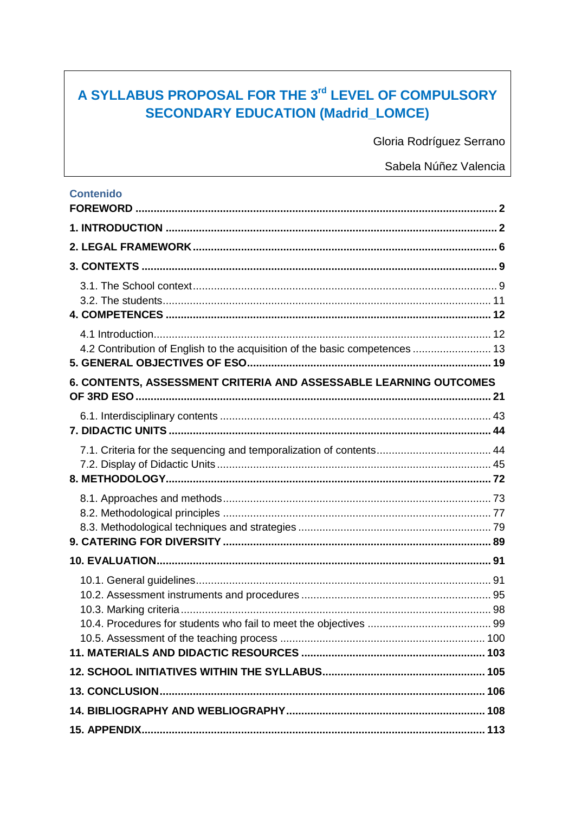# A SYLLABUS PROPOSAL FOR THE 3rd LEVEL OF COMPULSORY **SECONDARY EDUCATION (Madrid\_LOMCE)**

Gloria Rodríguez Serrano

Sabela Núñez Valencia

| <b>Contenido</b>                                                            |  |
|-----------------------------------------------------------------------------|--|
|                                                                             |  |
|                                                                             |  |
|                                                                             |  |
|                                                                             |  |
|                                                                             |  |
|                                                                             |  |
|                                                                             |  |
| 4.2 Contribution of English to the acquisition of the basic competences  13 |  |
| 6. CONTENTS, ASSESSMENT CRITERIA AND ASSESSABLE LEARNING OUTCOMES           |  |
|                                                                             |  |
|                                                                             |  |
|                                                                             |  |
|                                                                             |  |
|                                                                             |  |
|                                                                             |  |
|                                                                             |  |
|                                                                             |  |
|                                                                             |  |
|                                                                             |  |
|                                                                             |  |
|                                                                             |  |
|                                                                             |  |
|                                                                             |  |
|                                                                             |  |
|                                                                             |  |
|                                                                             |  |
|                                                                             |  |
|                                                                             |  |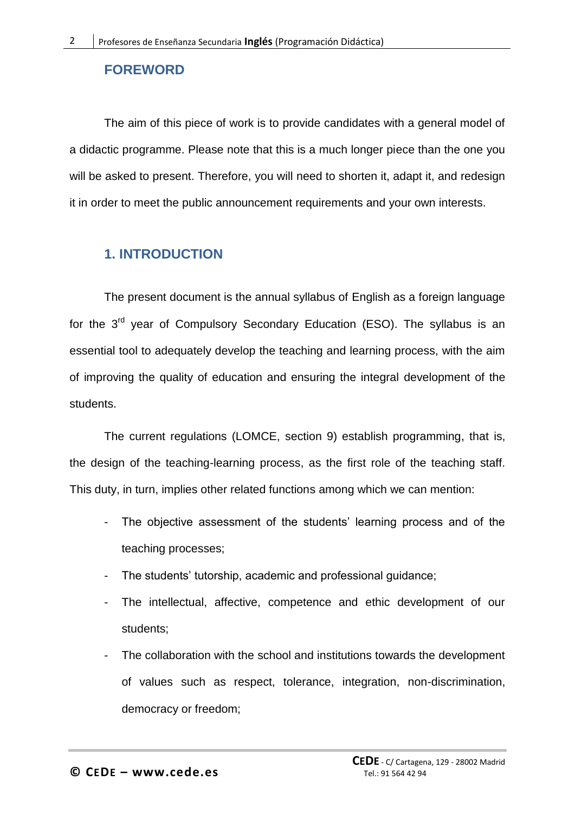## <span id="page-1-0"></span>**FOREWORD**

The aim of this piece of work is to provide candidates with a general model of a didactic programme. Please note that this is a much longer piece than the one you will be asked to present. Therefore, you will need to shorten it, adapt it, and redesign it in order to meet the public announcement requirements and your own interests.

## <span id="page-1-1"></span>**1. INTRODUCTION**

The present document is the annual syllabus of English as a foreign language for the 3<sup>rd</sup> year of Compulsory Secondary Education (ESO). The syllabus is an essential tool to adequately develop the teaching and learning process, with the aim of improving the quality of education and ensuring the integral development of the students.

The current regulations (LOMCE, section 9) establish programming, that is, the design of the teaching-learning process, as the first role of the teaching staff. This duty, in turn, implies other related functions among which we can mention:

- The objective assessment of the students' learning process and of the teaching processes;
- The students' tutorship, academic and professional guidance;
- The intellectual, affective, competence and ethic development of our students;
- The collaboration with the school and institutions towards the development of values such as respect, tolerance, integration, non-discrimination, democracy or freedom;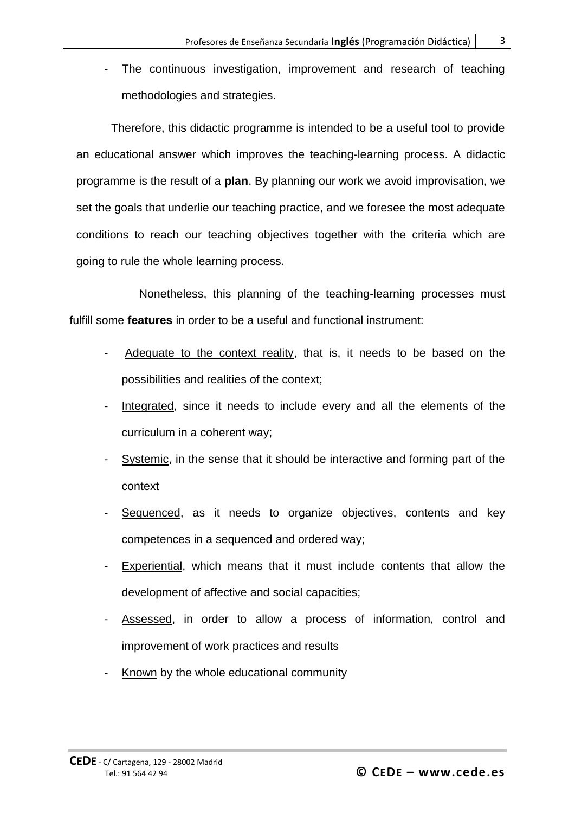The continuous investigation, improvement and research of teaching methodologies and strategies.

Therefore, this didactic programme is intended to be a useful tool to provide an educational answer which improves the teaching-learning process. A didactic programme is the result of a **plan**. By planning our work we avoid improvisation, we set the goals that underlie our teaching practice, and we foresee the most adequate conditions to reach our teaching objectives together with the criteria which are going to rule the whole learning process.

Nonetheless, this planning of the teaching-learning processes must fulfill some **features** in order to be a useful and functional instrument:

- Adequate to the context reality, that is, it needs to be based on the possibilities and realities of the context;
- Integrated, since it needs to include every and all the elements of the curriculum in a coherent way;
- Systemic, in the sense that it should be interactive and forming part of the context
- Sequenced, as it needs to organize objectives, contents and key competences in a sequenced and ordered way;
- Experiential, which means that it must include contents that allow the development of affective and social capacities;
- Assessed, in order to allow a process of information, control and improvement of work practices and results
- Known by the whole educational community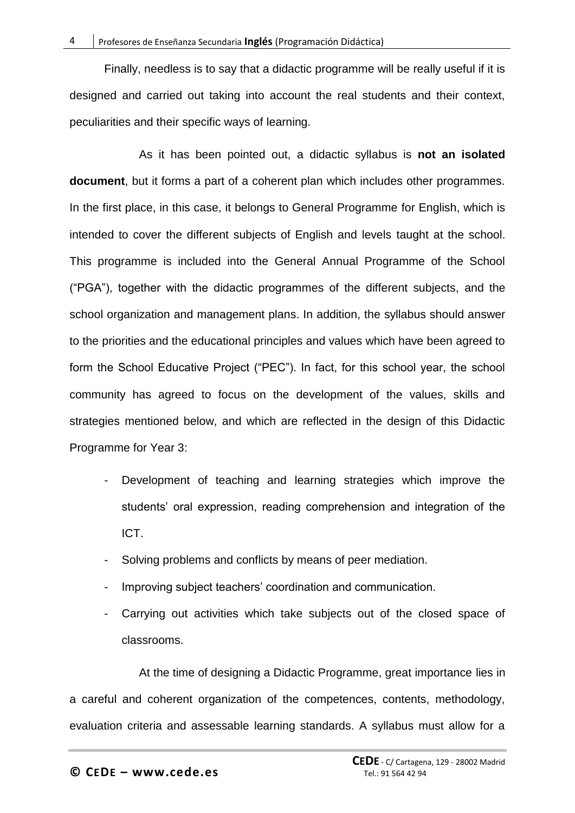Finally, needless is to say that a didactic programme will be really useful if it is designed and carried out taking into account the real students and their context, peculiarities and their specific ways of learning.

As it has been pointed out, a didactic syllabus is **not an isolated document**, but it forms a part of a coherent plan which includes other programmes. In the first place, in this case, it belongs to General Programme for English, which is intended to cover the different subjects of English and levels taught at the school. This programme is included into the General Annual Programme of the School ("PGA"), together with the didactic programmes of the different subjects, and the school organization and management plans. In addition, the syllabus should answer to the priorities and the educational principles and values which have been agreed to form the School Educative Project ("PEC"). In fact, for this school year, the school community has agreed to focus on the development of the values, skills and strategies mentioned below, and which are reflected in the design of this Didactic Programme for Year 3:

- Development of teaching and learning strategies which improve the students' oral expression, reading comprehension and integration of the ICT.
- Solving problems and conflicts by means of peer mediation.
- Improving subject teachers' coordination and communication.
- Carrying out activities which take subjects out of the closed space of classrooms.

At the time of designing a Didactic Programme, great importance lies in a careful and coherent organization of the competences, contents, methodology, evaluation criteria and assessable learning standards. A syllabus must allow for a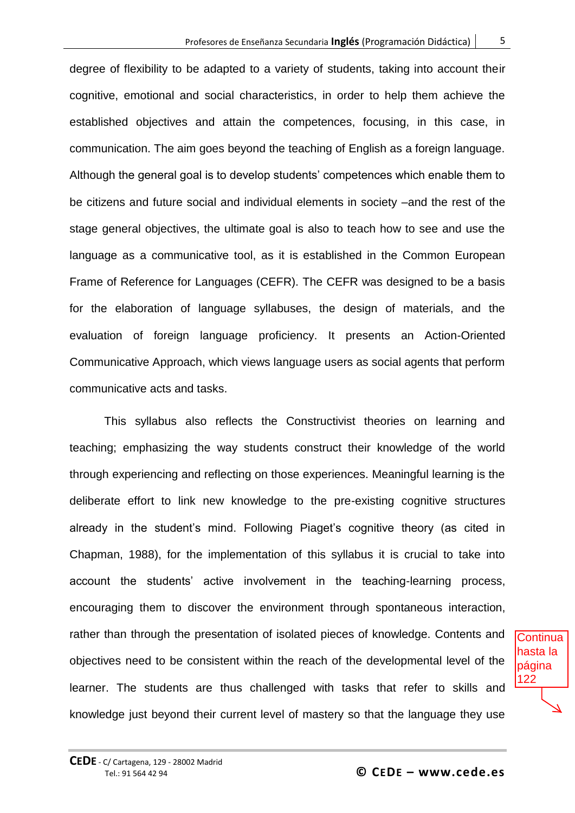degree of flexibility to be adapted to a variety of students, taking into account their cognitive, emotional and social characteristics, in order to help them achieve the established objectives and attain the competences, focusing, in this case, in communication. The aim goes beyond the teaching of English as a foreign language. Although the general goal is to develop students" competences which enable them to be citizens and future social and individual elements in society –and the rest of the stage general objectives, the ultimate goal is also to teach how to see and use the language as a communicative tool, as it is established in the Common European Frame of Reference for Languages (CEFR). The CEFR was designed to be a basis for the elaboration of language syllabuses, the design of materials, and the evaluation of foreign language proficiency. It presents an Action-Oriented Communicative Approach, which views language users as social agents that perform communicative acts and tasks.

This syllabus also reflects the Constructivist theories on learning and teaching; emphasizing the way students construct their knowledge of the world through experiencing and reflecting on those experiences. Meaningful learning is the deliberate effort to link new knowledge to the pre-existing cognitive structures already in the student's mind. Following Piaget's cognitive theory (as cited in Chapman, 1988), for the implementation of this syllabus it is crucial to take into account the students' active involvement in the teaching-learning process, encouraging them to discover the environment through spontaneous interaction, rather than through the presentation of isolated pieces of knowledge. Contents and objectives need to be consistent within the reach of the developmental level of the learner. The students are thus challenged with tasks that refer to skills and knowledge just beyond their current level of mastery so that the language they use

**Continua** hasta la página 122